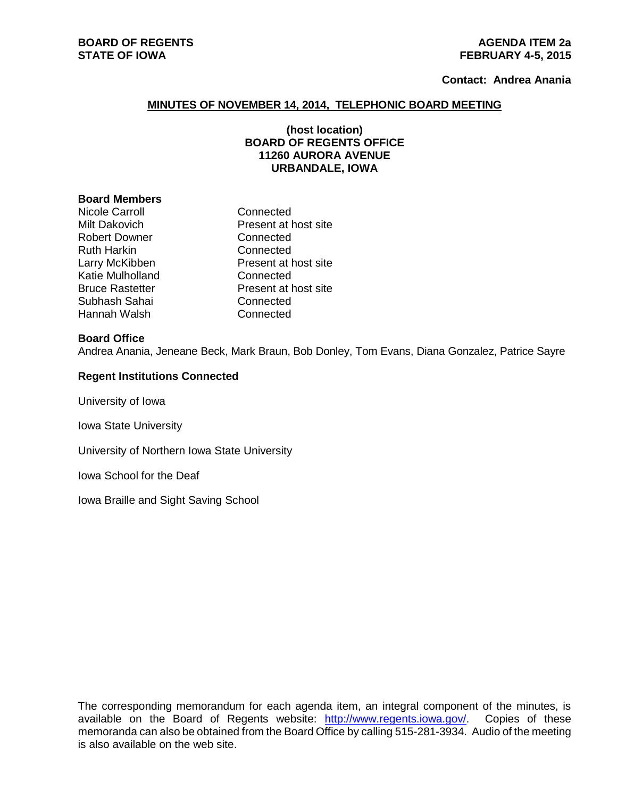### **Contact: Andrea Anania**

### **MINUTES OF NOVEMBER 14, 2014, TELEPHONIC BOARD MEETING**

# **(host location) BOARD OF REGENTS OFFICE 11260 AURORA AVENUE URBANDALE, IOWA**

#### **Board Members**

Nicole Carroll **Connected** Robert Downer Connected Ruth Harkin Connected Katie Mulholland Connected Subhash Sahai Connected Hannah Walsh Connected

Milt Dakovich Present at host site Larry McKibben Present at host site Bruce Rastetter **Present at host site** 

#### **Board Office**

Andrea Anania, Jeneane Beck, Mark Braun, Bob Donley, Tom Evans, Diana Gonzalez, Patrice Sayre

### **Regent Institutions Connected**

University of Iowa

Iowa State University

University of Northern Iowa State University

Iowa School for the Deaf

Iowa Braille and Sight Saving School

The corresponding memorandum for each agenda item, an integral component of the minutes, is available on the Board of Regents website: [http://www.regents.iowa.gov/.](http://www.regents.iowa.gov/) Copies of these memoranda can also be obtained from the Board Office by calling 515-281-3934. Audio of the meeting is also available on the web site.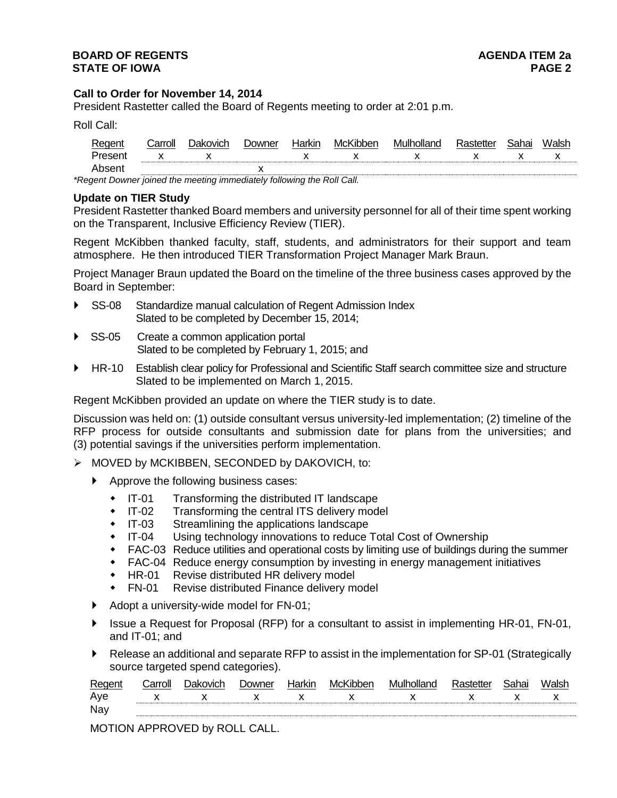# **Call to Order for November 14, 2014**

President Rastetter called the Board of Regents meeting to order at 2:01 p.m.

Roll Call:

|                                                                       | :arroll | ⊥)akovich | . Jowner | lorl/in | MCK. |  |  | 'ohoi |  |
|-----------------------------------------------------------------------|---------|-----------|----------|---------|------|--|--|-------|--|
|                                                                       |         |           |          |         |      |  |  |       |  |
| .hser                                                                 |         |           |          |         |      |  |  |       |  |
| legant Doumer is ined the meeting immediately following the Dell Cell |         |           |          |         |      |  |  |       |  |

*\*Regent Downer joined the meeting immediately following the Roll Call.*

### **Update on TIER Study**

President Rastetter thanked Board members and university personnel for all of their time spent working on the Transparent, Inclusive Efficiency Review (TIER).

Regent McKibben thanked faculty, staff, students, and administrators for their support and team atmosphere. He then introduced TIER Transformation Project Manager Mark Braun.

Project Manager Braun updated the Board on the timeline of the three business cases approved by the Board in September:

- SS-08 Standardize manual calculation of Regent Admission Index Slated to be completed by December 15, 2014;
- SS-05 Create a common application portal Slated to be completed by February 1, 2015; and
- HR-10 Establish clear policy for Professional and Scientific Staff search committee size and structure Slated to be implemented on March 1, 2015.

Regent McKibben provided an update on where the TIER study is to date.

Discussion was held on: (1) outside consultant versus university-led implementation; (2) timeline of the RFP process for outside consultants and submission date for plans from the universities; and (3) potential savings if the universities perform implementation.

- MOVED by MCKIBBEN, SECONDED by DAKOVICH, to:
	- Approve the following business cases:
		- IT-01 Transforming the distributed IT landscape
		- IT-02 Transforming the central ITS delivery model
		- IT-03 Streamlining the applications landscape<br>• IT-04 Using technology innovations to reduce
		- Using technology innovations to reduce Total Cost of Ownership
		- FAC-03 Reduce utilities and operational costs by limiting use of buildings during the summer
		- FAC-04 Reduce energy consumption by investing in energy management initiatives
		- HR-01 Revise distributed HR delivery model
		- FN-01 Revise distributed Finance delivery model
	- Adopt a university-wide model for FN-01;
	- ▶ Issue a Request for Proposal (RFP) for a consultant to assist in implementing HR-01, FN-01, and IT-01; and
	- Release an additional and separate RFP to assist in the implementation for SP-01 (Strategically source targeted spend categories).

| Reger | `arroll | ovich | owner        | McKibben     | M |    |  |
|-------|---------|-------|--------------|--------------|---|----|--|
| Aye   |         |       | $\mathsf{X}$ | $\mathsf{X}$ |   | ,, |  |
| Nay   |         |       |              |              |   |    |  |
|       |         |       |              |              |   |    |  |

MOTION APPROVED by ROLL CALL.